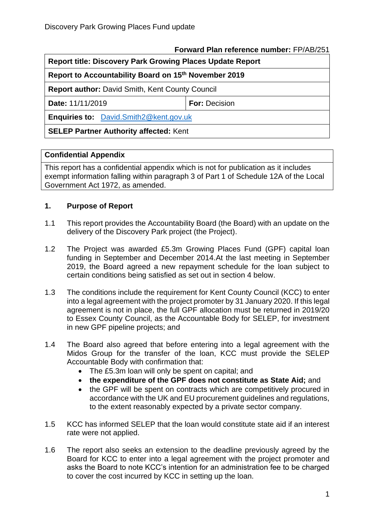#### **Forward Plan reference number:** FP/AB/251

| <b>Report title: Discovery Park Growing Places Update Report</b> |                      |
|------------------------------------------------------------------|----------------------|
| Report to Accountability Board on 15th November 2019             |                      |
| <b>Report author: David Smith, Kent County Council</b>           |                      |
| Date: 11/11/2019                                                 | <b>For: Decision</b> |
| Enquiries to: David.Smith2@kent.gov.uk                           |                      |
|                                                                  |                      |

# **SELEP Partner Authority affected:** Kent

### **Confidential Appendix**

This report has a confidential appendix which is not for publication as it includes exempt information falling within paragraph 3 of Part 1 of Schedule 12A of the Local Government Act 1972, as amended.

## **1. Purpose of Report**

- 1.1 This report provides the Accountability Board (the Board) with an update on the delivery of the Discovery Park project (the Project).
- 1.2 The Project was awarded £5.3m Growing Places Fund (GPF) capital loan funding in September and December 2014.At the last meeting in September 2019, the Board agreed a new repayment schedule for the loan subject to certain conditions being satisfied as set out in section 4 below.
- 1.3 The conditions include the requirement for Kent County Council (KCC) to enter into a legal agreement with the project promoter by 31 January 2020. If this legal agreement is not in place, the full GPF allocation must be returned in 2019/20 to Essex County Council, as the Accountable Body for SELEP, for investment in new GPF pipeline projects; and
- 1.4 The Board also agreed that before entering into a legal agreement with the Midos Group for the transfer of the loan, KCC must provide the SELEP Accountable Body with confirmation that:
	- The £5.3m loan will only be spent on capital; and
	- **the expenditure of the GPF does not constitute as State Aid;** and
	- the GPF will be spent on contracts which are competitively procured in accordance with the UK and EU procurement guidelines and regulations, to the extent reasonably expected by a private sector company.
- 1.5 KCC has informed SELEP that the loan would constitute state aid if an interest rate were not applied.
- 1.6 The report also seeks an extension to the deadline previously agreed by the Board for KCC to enter into a legal agreement with the project promoter and asks the Board to note KCC's intention for an administration fee to be charged to cover the cost incurred by KCC in setting up the loan.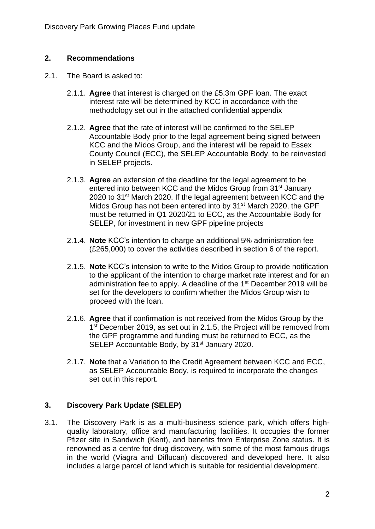#### **2. Recommendations**

- 2.1. The Board is asked to:
	- 2.1.1. **Agree** that interest is charged on the £5.3m GPF loan. The exact interest rate will be determined by KCC in accordance with the methodology set out in the attached confidential appendix
	- 2.1.2. **Agree** that the rate of interest will be confirmed to the SELEP Accountable Body prior to the legal agreement being signed between KCC and the Midos Group, and the interest will be repaid to Essex County Council (ECC), the SELEP Accountable Body, to be reinvested in SELEP projects.
	- 2.1.3. **Agree** an extension of the deadline for the legal agreement to be entered into between KCC and the Midos Group from 31st January 2020 to 31st March 2020. If the legal agreement between KCC and the Midos Group has not been entered into by 31<sup>st</sup> March 2020, the GPF must be returned in Q1 2020/21 to ECC, as the Accountable Body for SELEP, for investment in new GPF pipeline projects
	- 2.1.4. **Note** KCC's intention to charge an additional 5% administration fee (£265,000) to cover the activities described in section 6 of the report.
	- 2.1.5. **Note** KCC's intension to write to the Midos Group to provide notification to the applicant of the intention to charge market rate interest and for an administration fee to apply. A deadline of the 1<sup>st</sup> December 2019 will be set for the developers to confirm whether the Midos Group wish to proceed with the loan.
	- 2.1.6. **Agree** that if confirmation is not received from the Midos Group by the 1<sup>st</sup> December 2019, as set out in 2.1.5, the Project will be removed from the GPF programme and funding must be returned to ECC, as the SELEP Accountable Body, by 31<sup>st</sup> January 2020.
	- 2.1.7. **Note** that a Variation to the Credit Agreement between KCC and ECC, as SELEP Accountable Body, is required to incorporate the changes set out in this report.

## **3. Discovery Park Update (SELEP)**

3.1. The Discovery Park is as a multi-business science park, which offers highquality laboratory, office and manufacturing facilities. It occupies the former Pfizer site in Sandwich (Kent), and benefits from Enterprise Zone status. It is renowned as a centre for drug discovery, with some of the most famous drugs in the world (Viagra and Diflucan) discovered and developed here. It also includes a large parcel of land which is suitable for residential development.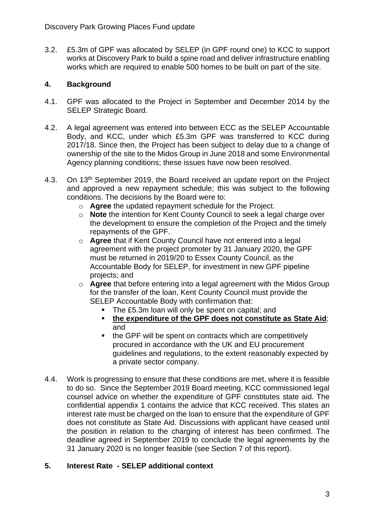3.2. £5.3m of GPF was allocated by SELEP (in GPF round one) to KCC to support works at Discovery Park to build a spine road and deliver infrastructure enabling works which are required to enable 500 homes to be built on part of the site.

## **4. Background**

- 4.1. GPF was allocated to the Project in September and December 2014 by the SELEP Strategic Board.
- 4.2. A legal agreement was entered into between ECC as the SELEP Accountable Body, and KCC, under which £5.3m GPF was transferred to KCC during 2017/18. Since then, the Project has been subject to delay due to a change of ownership of the site to the Midos Group in June 2018 and some Environmental Agency planning conditions; these issues have now been resolved.
- 4.3. On 13<sup>th</sup> September 2019, the Board received an update report on the Project and approved a new repayment schedule; this was subject to the following conditions. The decisions by the Board were to:
	- o **Agree** the updated repayment schedule for the Project.
	- o **Note** the intention for Kent County Council to seek a legal charge over the development to ensure the completion of the Project and the timely repayments of the GPF.
	- o **Agree** that if Kent County Council have not entered into a legal agreement with the project promoter by 31 January 2020, the GPF must be returned in 2019/20 to Essex County Council, as the Accountable Body for SELEP, for investment in new GPF pipeline projects; and
	- o **Agree** that before entering into a legal agreement with the Midos Group for the transfer of the loan, Kent County Council must provide the SELEP Accountable Body with confirmation that:
		- The £5.3m loan will only be spent on capital: and
		- **the expenditure of the GPF does not constitute as State Aid**; and
		- the GPF will be spent on contracts which are competitively procured in accordance with the UK and EU procurement guidelines and regulations, to the extent reasonably expected by a private sector company.
- 4.4. Work is progressing to ensure that these conditions are met, where it is feasible to do so. Since the September 2019 Board meeting, KCC commissioned legal counsel advice on whether the expenditure of GPF constitutes state aid. The confidential appendix 1 contains the advice that KCC received. This states an interest rate must be charged on the loan to ensure that the expenditure of GPF does not constitute as State Aid. Discussions with applicant have ceased until the position in relation to the charging of interest has been confirmed. The deadline agreed in September 2019 to conclude the legal agreements by the 31 January 2020 is no longer feasible (see Section 7 of this report).

## **5. Interest Rate - SELEP additional context**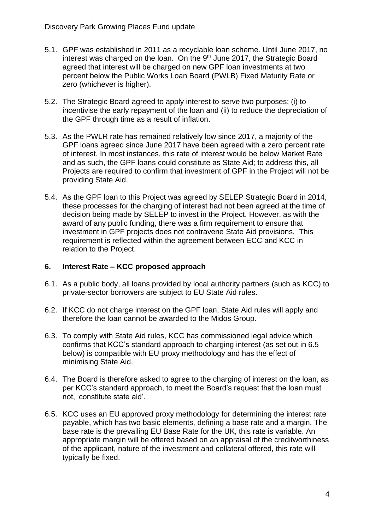- 5.1. GPF was established in 2011 as a recyclable loan scheme. Until June 2017, no interest was charged on the loan. On the 9<sup>th</sup> June 2017, the Strategic Board agreed that interest will be charged on new GPF loan investments at two percent below the Public Works Loan Board (PWLB) Fixed Maturity Rate or zero (whichever is higher).
- 5.2. The Strategic Board agreed to apply interest to serve two purposes; (i) to incentivise the early repayment of the loan and (ii) to reduce the depreciation of the GPF through time as a result of inflation.
- 5.3. As the PWLR rate has remained relatively low since 2017, a majority of the GPF loans agreed since June 2017 have been agreed with a zero percent rate of interest. In most instances, this rate of interest would be below Market Rate and as such, the GPF loans could constitute as State Aid; to address this, all Projects are required to confirm that investment of GPF in the Project will not be providing State Aid.
- 5.4. As the GPF loan to this Project was agreed by SELEP Strategic Board in 2014, these processes for the charging of interest had not been agreed at the time of decision being made by SELEP to invest in the Project. However, as with the award of any public funding, there was a firm requirement to ensure that investment in GPF projects does not contravene State Aid provisions. This requirement is reflected within the agreement between ECC and KCC in relation to the Project.

#### **6. Interest Rate – KCC proposed approach**

- 6.1. As a public body, all loans provided by local authority partners (such as KCC) to private-sector borrowers are subject to EU State Aid rules.
- 6.2. If KCC do not charge interest on the GPF loan, State Aid rules will apply and therefore the loan cannot be awarded to the Midos Group.
- 6.3. To comply with State Aid rules, KCC has commissioned legal advice which confirms that KCC's standard approach to charging interest (as set out in 6.5 below) is compatible with EU proxy methodology and has the effect of minimising State Aid.
- 6.4. The Board is therefore asked to agree to the charging of interest on the loan, as per KCC's standard approach, to meet the Board's request that the loan must not, 'constitute state aid'.
- 6.5. KCC uses an EU approved proxy methodology for determining the interest rate payable, which has two basic elements, defining a base rate and a margin. The base rate is the prevailing EU Base Rate for the UK, this rate is variable. An appropriate margin will be offered based on an appraisal of the creditworthiness of the applicant, nature of the investment and collateral offered, this rate will typically be fixed.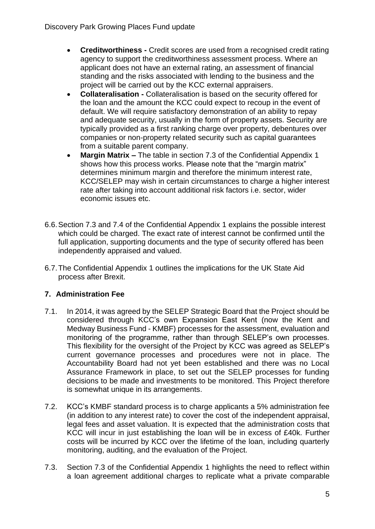- **Creditworthiness -** Credit scores are used from a recognised credit rating agency to support the creditworthiness assessment process. Where an applicant does not have an external rating, an assessment of financial standing and the risks associated with lending to the business and the project will be carried out by the KCC external appraisers.
- **Collateralisation -** Collateralisation is based on the security offered for the loan and the amount the KCC could expect to recoup in the event of default. We will require satisfactory demonstration of an ability to repay and adequate security, usually in the form of property assets. Security are typically provided as a first ranking charge over property, debentures over companies or non-property related security such as capital guarantees from a suitable parent company.
- **Margin Matrix –** The table in section 7.3 of the Confidential Appendix 1 shows how this process works. Please note that the "margin matrix" determines minimum margin and therefore the minimum interest rate, KCC/SELEP may wish in certain circumstances to charge a higher interest rate after taking into account additional risk factors i.e. sector, wider economic issues etc.
- 6.6.Section 7.3 and 7.4 of the Confidential Appendix 1 explains the possible interest which could be charged. The exact rate of interest cannot be confirmed until the full application, supporting documents and the type of security offered has been independently appraised and valued.
- 6.7.The Confidential Appendix 1 outlines the implications for the UK State Aid process after Brexit.

# **7. Administration Fee**

- 7.1. In 2014, it was agreed by the SELEP Strategic Board that the Project should be considered through KCC's own Expansion East Kent (now the Kent and Medway Business Fund - KMBF) processes for the assessment, evaluation and monitoring of the programme, rather than through SELEP's own processes. This flexibility for the oversight of the Project by KCC was agreed as SELEP's current governance processes and procedures were not in place. The Accountability Board had not yet been established and there was no Local Assurance Framework in place, to set out the SELEP processes for funding decisions to be made and investments to be monitored. This Project therefore is somewhat unique in its arrangements.
- 7.2. KCC's KMBF standard process is to charge applicants a 5% administration fee (in addition to any interest rate) to cover the cost of the independent appraisal, legal fees and asset valuation. It is expected that the administration costs that KCC will incur in just establishing the loan will be in excess of £40k. Further costs will be incurred by KCC over the lifetime of the loan, including quarterly monitoring, auditing, and the evaluation of the Project.
- 7.3. Section 7.3 of the Confidential Appendix 1 highlights the need to reflect within a loan agreement additional charges to replicate what a private comparable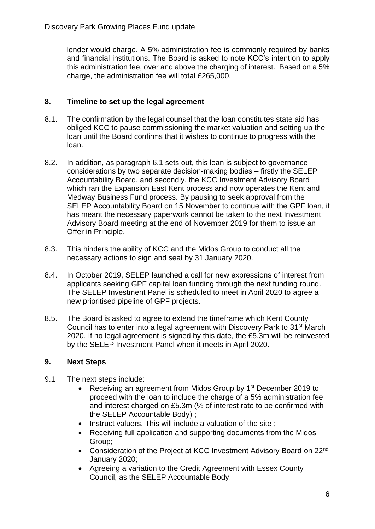lender would charge. A 5% administration fee is commonly required by banks and financial institutions. The Board is asked to note KCC's intention to apply this administration fee, over and above the charging of interest. Based on a 5% charge, the administration fee will total £265,000.

# **8. Timeline to set up the legal agreement**

- 8.1. The confirmation by the legal counsel that the loan constitutes state aid has obliged KCC to pause commissioning the market valuation and setting up the loan until the Board confirms that it wishes to continue to progress with the loan.
- 8.2. In addition, as paragraph 6.1 sets out, this loan is subject to governance considerations by two separate decision-making bodies – firstly the SELEP Accountability Board, and secondly, the KCC Investment Advisory Board which ran the Expansion East Kent process and now operates the Kent and Medway Business Fund process. By pausing to seek approval from the SELEP Accountability Board on 15 November to continue with the GPF loan, it has meant the necessary paperwork cannot be taken to the next Investment Advisory Board meeting at the end of November 2019 for them to issue an Offer in Principle.
- 8.3. This hinders the ability of KCC and the Midos Group to conduct all the necessary actions to sign and seal by 31 January 2020.
- 8.4. In October 2019, SELEP launched a call for new expressions of interest from applicants seeking GPF capital loan funding through the next funding round. The SELEP Investment Panel is scheduled to meet in April 2020 to agree a new prioritised pipeline of GPF projects.
- 8.5. The Board is asked to agree to extend the timeframe which Kent County Council has to enter into a legal agreement with Discovery Park to 31st March 2020. If no legal agreement is signed by this date, the £5.3m will be reinvested by the SELEP Investment Panel when it meets in April 2020.

# **9. Next Steps**

- 9.1 The next steps include:
	- Receiving an agreement from Midos Group by 1st December 2019 to proceed with the loan to include the charge of a 5% administration fee and interest charged on £5.3m (% of interest rate to be confirmed with the SELEP Accountable Body) ;
	- Instruct valuers. This will include a valuation of the site ;
	- Receiving full application and supporting documents from the Midos Group;
	- Consideration of the Project at KCC Investment Advisory Board on 22<sup>nd</sup> January 2020;
	- Agreeing a variation to the Credit Agreement with Essex County Council, as the SELEP Accountable Body.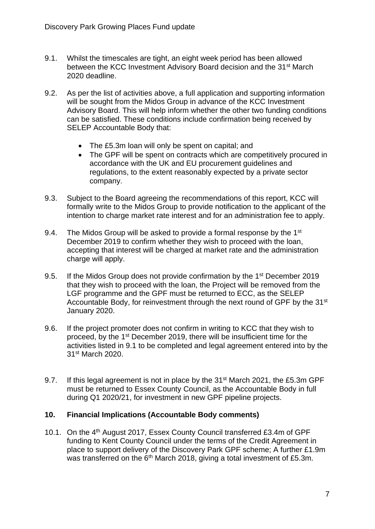- 9.1. Whilst the timescales are tight, an eight week period has been allowed between the KCC Investment Advisory Board decision and the 31<sup>st</sup> March 2020 deadline.
- 9.2. As per the list of activities above, a full application and supporting information will be sought from the Midos Group in advance of the KCC Investment Advisory Board. This will help inform whether the other two funding conditions can be satisfied. These conditions include confirmation being received by SELEP Accountable Body that:
	- The £5.3m loan will only be spent on capital; and
	- The GPF will be spent on contracts which are competitively procured in accordance with the UK and EU procurement guidelines and regulations, to the extent reasonably expected by a private sector company.
- 9.3. Subject to the Board agreeing the recommendations of this report, KCC will formally write to the Midos Group to provide notification to the applicant of the intention to charge market rate interest and for an administration fee to apply.
- 9.4. The Midos Group will be asked to provide a formal response by the  $1<sup>st</sup>$ December 2019 to confirm whether they wish to proceed with the loan, accepting that interest will be charged at market rate and the administration charge will apply.
- 9.5. If the Midos Group does not provide confirmation by the 1<sup>st</sup> December 2019 that they wish to proceed with the loan, the Project will be removed from the LGF programme and the GPF must be returned to ECC, as the SELEP Accountable Body, for reinvestment through the next round of GPF by the 31<sup>st</sup> January 2020.
- 9.6. If the project promoter does not confirm in writing to KCC that they wish to proceed, by the 1st December 2019, there will be insufficient time for the activities listed in 9.1 to be completed and legal agreement entered into by the 31st March 2020.
- 9.7. If this legal agreement is not in place by the 31<sup>st</sup> March 2021, the £5.3m GPF must be returned to Essex County Council, as the Accountable Body in full during Q1 2020/21, for investment in new GPF pipeline projects.

#### **10. Financial Implications (Accountable Body comments)**

10.1. On the 4<sup>th</sup> August 2017, Essex County Council transferred £3.4m of GPF funding to Kent County Council under the terms of the Credit Agreement in place to support delivery of the Discovery Park GPF scheme; A further £1.9m was transferred on the  $6<sup>th</sup>$  March 2018, giving a total investment of £5.3m.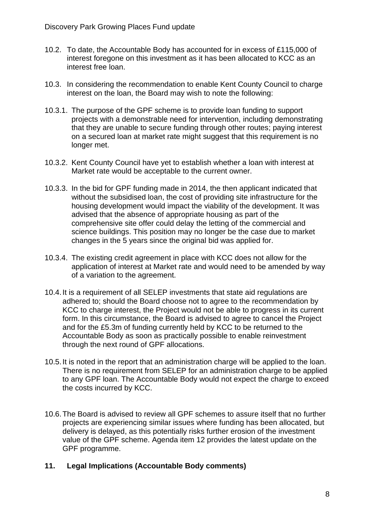- 10.2. To date, the Accountable Body has accounted for in excess of £115,000 of interest foregone on this investment as it has been allocated to KCC as an interest free loan.
- 10.3. In considering the recommendation to enable Kent County Council to charge interest on the loan, the Board may wish to note the following:
- 10.3.1. The purpose of the GPF scheme is to provide loan funding to support projects with a demonstrable need for intervention, including demonstrating that they are unable to secure funding through other routes; paying interest on a secured loan at market rate might suggest that this requirement is no longer met.
- 10.3.2. Kent County Council have yet to establish whether a loan with interest at Market rate would be acceptable to the current owner.
- 10.3.3. In the bid for GPF funding made in 2014, the then applicant indicated that without the subsidised loan, the cost of providing site infrastructure for the housing development would impact the viability of the development. It was advised that the absence of appropriate housing as part of the comprehensive site offer could delay the letting of the commercial and science buildings. This position may no longer be the case due to market changes in the 5 years since the original bid was applied for.
- 10.3.4. The existing credit agreement in place with KCC does not allow for the application of interest at Market rate and would need to be amended by way of a variation to the agreement.
- 10.4.It is a requirement of all SELEP investments that state aid regulations are adhered to; should the Board choose not to agree to the recommendation by KCC to charge interest, the Project would not be able to progress in its current form. In this circumstance, the Board is advised to agree to cancel the Project and for the £5.3m of funding currently held by KCC to be returned to the Accountable Body as soon as practically possible to enable reinvestment through the next round of GPF allocations.
- 10.5.It is noted in the report that an administration charge will be applied to the loan. There is no requirement from SELEP for an administration charge to be applied to any GPF loan. The Accountable Body would not expect the charge to exceed the costs incurred by KCC.
- 10.6.The Board is advised to review all GPF schemes to assure itself that no further projects are experiencing similar issues where funding has been allocated, but delivery is delayed, as this potentially risks further erosion of the investment value of the GPF scheme. Agenda item 12 provides the latest update on the GPF programme.
- **11. Legal Implications (Accountable Body comments)**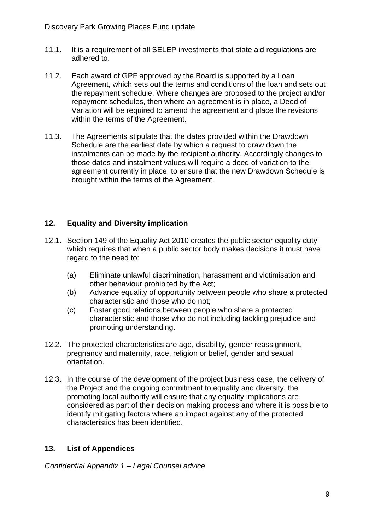- 11.1. It is a requirement of all SELEP investments that state aid regulations are adhered to.
- 11.2. Each award of GPF approved by the Board is supported by a Loan Agreement, which sets out the terms and conditions of the loan and sets out the repayment schedule. Where changes are proposed to the project and/or repayment schedules, then where an agreement is in place, a Deed of Variation will be required to amend the agreement and place the revisions within the terms of the Agreement.
- 11.3. The Agreements stipulate that the dates provided within the Drawdown Schedule are the earliest date by which a request to draw down the instalments can be made by the recipient authority. Accordingly changes to those dates and instalment values will require a deed of variation to the agreement currently in place, to ensure that the new Drawdown Schedule is brought within the terms of the Agreement.

# **12. Equality and Diversity implication**

- 12.1. Section 149 of the Equality Act 2010 creates the public sector equality duty which requires that when a public sector body makes decisions it must have regard to the need to:
	- (a) Eliminate unlawful discrimination, harassment and victimisation and other behaviour prohibited by the Act;
	- (b) Advance equality of opportunity between people who share a protected characteristic and those who do not;
	- (c) Foster good relations between people who share a protected characteristic and those who do not including tackling prejudice and promoting understanding.
- 12.2. The protected characteristics are age, disability, gender reassignment, pregnancy and maternity, race, religion or belief, gender and sexual orientation.
- 12.3. In the course of the development of the project business case, the delivery of the Project and the ongoing commitment to equality and diversity, the promoting local authority will ensure that any equality implications are considered as part of their decision making process and where it is possible to identify mitigating factors where an impact against any of the protected characteristics has been identified.

## **13. List of Appendices**

*Confidential Appendix 1 – Legal Counsel advice*